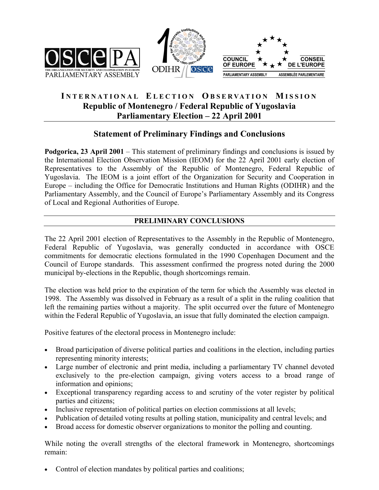





# **I NTERNATIONAL E LECTION O B SERVAT I O N M ISSION Republic of Montenegro / Federal Republic of Yugoslavia Parliamentary Election – 22 April 2001**

# **Statement of Preliminary Findings and Conclusions**

**Podgorica, 23 April 2001** – This statement of preliminary findings and conclusions is issued by the International Election Observation Mission (IEOM) for the 22 April 2001 early election of Representatives to the Assembly of the Republic of Montenegro, Federal Republic of Yugoslavia. The IEOM is a joint effort of the Organization for Security and Cooperation in Europe – including the Office for Democratic Institutions and Human Rights (ODIHR) and the Parliamentary Assembly, and the Council of Europe's Parliamentary Assembly and its Congress of Local and Regional Authorities of Europe.

## **PRELIMINARY CONCLUSIONS**

The 22 April 2001 election of Representatives to the Assembly in the Republic of Montenegro, Federal Republic of Yugoslavia, was generally conducted in accordance with OSCE commitments for democratic elections formulated in the 1990 Copenhagen Document and the Council of Europe standards. This assessment confirmed the progress noted during the 2000 municipal by-elections in the Republic, though shortcomings remain.

The election was held prior to the expiration of the term for which the Assembly was elected in 1998. The Assembly was dissolved in February as a result of a split in the ruling coalition that left the remaining parties without a majority. The split occurred over the future of Montenegro within the Federal Republic of Yugoslavia, an issue that fully dominated the election campaign.

Positive features of the electoral process in Montenegro include:

- Broad participation of diverse political parties and coalitions in the election, including parties representing minority interests;
- Large number of electronic and print media, including a parliamentary TV channel devoted exclusively to the pre-election campaign, giving voters access to a broad range of information and opinions;
- Exceptional transparency regarding access to and scrutiny of the voter register by political parties and citizens;
- Inclusive representation of political parties on election commissions at all levels;
- Publication of detailed voting results at polling station, municipality and central levels; and
- Broad access for domestic observer organizations to monitor the polling and counting.

While noting the overall strengths of the electoral framework in Montenegro, shortcomings remain:

• Control of election mandates by political parties and coalitions;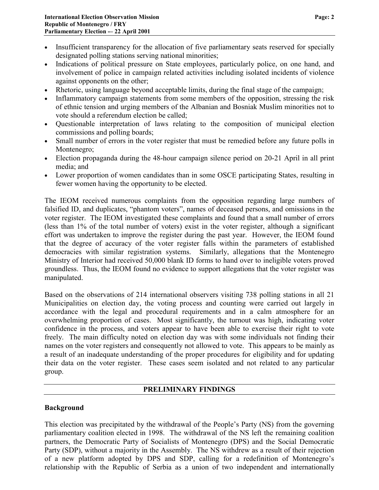- Insufficient transparency for the allocation of five parliamentary seats reserved for specially designated polling stations serving national minorities;
- Indications of political pressure on State employees, particularly police, on one hand, and involvement of police in campaign related activities including isolated incidents of violence against opponents on the other;
- Rhetoric, using language beyond acceptable limits, during the final stage of the campaign;
- Inflammatory campaign statements from some members of the opposition, stressing the risk of ethnic tension and urging members of the Albanian and Bosniak Muslim minorities not to vote should a referendum election be called;
- Questionable interpretation of laws relating to the composition of municipal election commissions and polling boards;
- Small number of errors in the voter register that must be remedied before any future polls in Montenegro;
- Election propaganda during the 48-hour campaign silence period on 20-21 April in all print media; and
- Lower proportion of women candidates than in some OSCE participating States, resulting in fewer women having the opportunity to be elected.

The IEOM received numerous complaints from the opposition regarding large numbers of falsified ID, and duplicates, "phantom voters", names of deceased persons, and omissions in the voter register. The IEOM investigated these complaints and found that a small number of errors (less than 1% of the total number of voters) exist in the voter register, although a significant effort was undertaken to improve the register during the past year. However, the IEOM found that the degree of accuracy of the voter register falls within the parameters of established democracies with similar registration systems. Similarly, allegations that the Montenegro Ministry of Interior had received 50,000 blank ID forms to hand over to ineligible voters proved groundless. Thus, the IEOM found no evidence to support allegations that the voter register was manipulated.

Based on the observations of 214 international observers visiting 738 polling stations in all 21 Municipalities on election day, the voting process and counting were carried out largely in accordance with the legal and procedural requirements and in a calm atmosphere for an overwhelming proportion of cases. Most significantly, the turnout was high, indicating voter confidence in the process, and voters appear to have been able to exercise their right to vote freely. The main difficulty noted on election day was with some individuals not finding their names on the voter registers and consequently not allowed to vote. This appears to be mainly as a result of an inadequate understanding of the proper procedures for eligibility and for updating their data on the voter register. These cases seem isolated and not related to any particular group.

### **PRELIMINARY FINDINGS**

#### **Background**

This election was precipitated by the withdrawal of the People's Party (NS) from the governing parliamentary coalition elected in 1998. The withdrawal of the NS left the remaining coalition partners, the Democratic Party of Socialists of Montenegro (DPS) and the Social Democratic Party (SDP), without a majority in the Assembly. The NS withdrew as a result of their rejection of a new platform adopted by DPS and SDP, calling for a redefinition of Montenegro's relationship with the Republic of Serbia as a union of two independent and internationally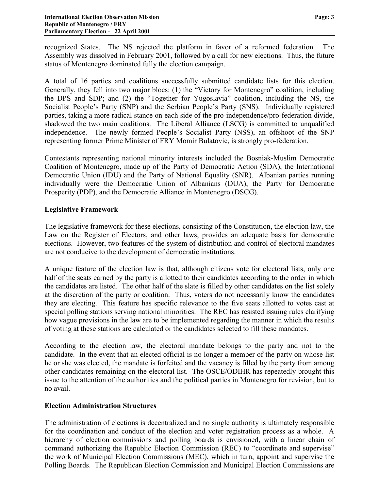recognized States. The NS rejected the platform in favor of a reformed federation. The Assembly was dissolved in February 2001, followed by a call for new elections. Thus, the future status of Montenegro dominated fully the election campaign.

A total of 16 parties and coalitions successfully submitted candidate lists for this election. Generally, they fell into two major blocs: (1) the "Victory for Montenegro" coalition, including the DPS and SDP; and (2) the "Together for Yugoslavia" coalition, including the NS, the Socialist People's Party (SNP) and the Serbian People's Party (SNS). Individually registered parties, taking a more radical stance on each side of the pro-independence/pro-federation divide, shadowed the two main coalitions. The Liberal Alliance (LSCG) is committed to unqualified independence. The newly formed People's Socialist Party (NSS), an offshoot of the SNP representing former Prime Minister of FRY Momir Bulatovic, is strongly pro-federation.

Contestants representing national minority interests included the Bosniak-Muslim Democratic Coalition of Montenegro, made up of the Party of Democratic Action (SDA), the International Democratic Union (IDU) and the Party of National Equality (SNR). Albanian parties running individually were the Democratic Union of Albanians (DUA), the Party for Democratic Prosperity (PDP), and the Democratic Alliance in Montenegro (DSCG).

#### **Legislative Framework**

The legislative framework for these elections, consisting of the Constitution, the election law, the Law on the Register of Electors, and other laws, provides an adequate basis for democratic elections. However, two features of the system of distribution and control of electoral mandates are not conducive to the development of democratic institutions.

A unique feature of the election law is that, although citizens vote for electoral lists, only one half of the seats earned by the party is allotted to their candidates according to the order in which the candidates are listed. The other half of the slate is filled by other candidates on the list solely at the discretion of the party or coalition. Thus, voters do not necessarily know the candidates they are electing. This feature has specific relevance to the five seats allotted to votes cast at special polling stations serving national minorities. The REC has resisted issuing rules clarifying how vague provisions in the law are to be implemented regarding the manner in which the results of voting at these stations are calculated or the candidates selected to fill these mandates.

According to the election law, the electoral mandate belongs to the party and not to the candidate. In the event that an elected official is no longer a member of the party on whose list he or she was elected, the mandate is forfeited and the vacancy is filled by the party from among other candidates remaining on the electoral list. The OSCE/ODIHR has repeatedly brought this issue to the attention of the authorities and the political parties in Montenegro for revision, but to no avail.

### **Election Administration Structures**

The administration of elections is decentralized and no single authority is ultimately responsible for the coordination and conduct of the election and voter registration process as a whole. A hierarchy of election commissions and polling boards is envisioned, with a linear chain of command authorizing the Republic Election Commission (REC) to "coordinate and supervise" the work of Municipal Election Commissions (MEC), which in turn, appoint and supervise the Polling Boards. The Republican Election Commission and Municipal Election Commissions are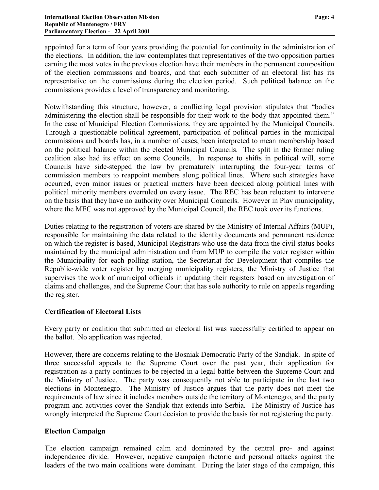appointed for a term of four years providing the potential for continuity in the administration of the elections. In addition, the law contemplates that representatives of the two opposition parties earning the most votes in the previous election have their members in the permanent composition of the election commissions and boards, and that each submitter of an electoral list has its representative on the commissions during the election period. Such political balance on the commissions provides a level of transparency and monitoring.

Notwithstanding this structure, however, a conflicting legal provision stipulates that "bodies administering the election shall be responsible for their work to the body that appointed them." In the case of Municipal Election Commissions, they are appointed by the Municipal Councils. Through a questionable political agreement, participation of political parties in the municipal commissions and boards has, in a number of cases, been interpreted to mean membership based on the political balance within the elected Municipal Councils. The split in the former ruling coalition also had its effect on some Councils. In response to shifts in political will, some Councils have side-stepped the law by prematurely interrupting the four-year terms of commission members to reappoint members along political lines. Where such strategies have occurred, even minor issues or practical matters have been decided along political lines with political minority members overruled on every issue. The REC has been reluctant to intervene on the basis that they have no authority over Municipal Councils. However in Plav municipality, where the MEC was not approved by the Municipal Council, the REC took over its functions.

Duties relating to the registration of voters are shared by the Ministry of Internal Affairs (MUP), responsible for maintaining the data related to the identity documents and permanent residence on which the register is based, Municipal Registrars who use the data from the civil status books maintained by the municipal administration and from MUP to compile the voter register within the Municipality for each polling station, the Secretariat for Development that compiles the Republic-wide voter register by merging municipality registers, the Ministry of Justice that supervises the work of municipal officials in updating their registers based on investigation of claims and challenges, and the Supreme Court that has sole authority to rule on appeals regarding the register.

### **Certification of Electoral Lists**

Every party or coalition that submitted an electoral list was successfully certified to appear on the ballot. No application was rejected.

However, there are concerns relating to the Bosniak Democratic Party of the Sandjak. In spite of three successful appeals to the Supreme Court over the past year, their application for registration as a party continues to be rejected in a legal battle between the Supreme Court and the Ministry of Justice. The party was consequently not able to participate in the last two elections in Montenegro. The Ministry of Justice argues that the party does not meet the requirements of law since it includes members outside the territory of Montenegro, and the party program and activities cover the Sandjak that extends into Serbia. The Ministry of Justice has wrongly interpreted the Supreme Court decision to provide the basis for not registering the party.

### **Election Campaign**

The election campaign remained calm and dominated by the central pro- and against independence divide. However, negative campaign rhetoric and personal attacks against the leaders of the two main coalitions were dominant. During the later stage of the campaign, this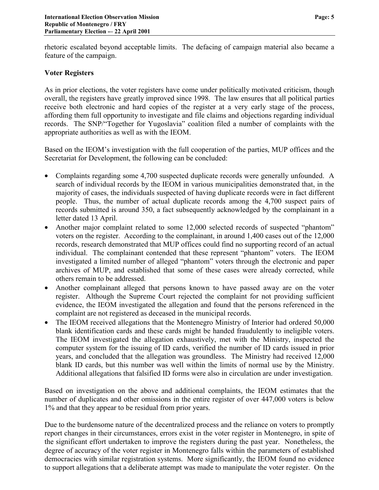rhetoric escalated beyond acceptable limits. The defacing of campaign material also became a feature of the campaign.

#### **Voter Registers**

As in prior elections, the voter registers have come under politically motivated criticism, though overall, the registers have greatly improved since 1998. The law ensures that all political parties receive both electronic and hard copies of the register at a very early stage of the process, affording them full opportunity to investigate and file claims and objections regarding individual records. The SNP/"Together for Yugoslavia" coalition filed a number of complaints with the appropriate authorities as well as with the IEOM.

Based on the IEOM's investigation with the full cooperation of the parties, MUP offices and the Secretariat for Development, the following can be concluded:

- Complaints regarding some 4,700 suspected duplicate records were generally unfounded. A search of individual records by the IEOM in various municipalities demonstrated that, in the majority of cases, the individuals suspected of having duplicate records were in fact different people. Thus, the number of actual duplicate records among the 4,700 suspect pairs of records submitted is around 350, a fact subsequently acknowledged by the complainant in a letter dated 13 April.
- Another major complaint related to some 12,000 selected records of suspected "phantom" voters on the register. According to the complainant, in around 1,400 cases out of the 12,000 records, research demonstrated that MUP offices could find no supporting record of an actual individual. The complainant contended that these represent "phantom" voters. The IEOM investigated a limited number of alleged "phantom" voters through the electronic and paper archives of MUP, and established that some of these cases were already corrected, while others remain to be addressed.
- Another complainant alleged that persons known to have passed away are on the voter register. Although the Supreme Court rejected the complaint for not providing sufficient evidence, the IEOM investigated the allegation and found that the persons referenced in the complaint are not registered as deceased in the municipal records.
- The IEOM received allegations that the Montenegro Ministry of Interior had ordered 50,000 blank identification cards and these cards might be handed fraudulently to ineligible voters. The IEOM investigated the allegation exhaustively, met with the Ministry, inspected the computer system for the issuing of ID cards, verified the number of ID cards issued in prior years, and concluded that the allegation was groundless. The Ministry had received 12,000 blank ID cards, but this number was well within the limits of normal use by the Ministry. Additional allegations that falsified ID forms were also in circulation are under investigation.

Based on investigation on the above and additional complaints, the IEOM estimates that the number of duplicates and other omissions in the entire register of over 447,000 voters is below 1% and that they appear to be residual from prior years.

Due to the burdensome nature of the decentralized process and the reliance on voters to promptly report changes in their circumstances, errors exist in the voter register in Montenegro, in spite of the significant effort undertaken to improve the registers during the past year. Nonetheless, the degree of accuracy of the voter register in Montenegro falls within the parameters of established democracies with similar registration systems. More significantly, the IEOM found no evidence to support allegations that a deliberate attempt was made to manipulate the voter register. On the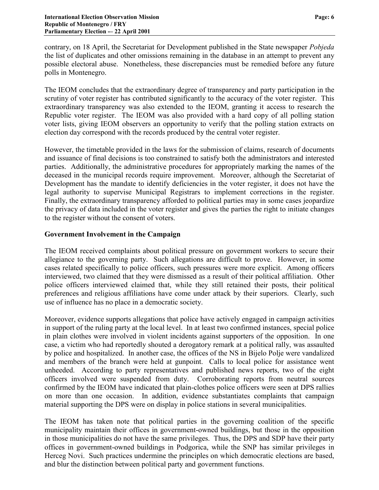contrary, on 18 April, the Secretariat for Development published in the State newspaper *Pobjeda* the list of duplicates and other omissions remaining in the database in an attempt to prevent any possible electoral abuse. Nonetheless, these discrepancies must be remedied before any future polls in Montenegro.

The IEOM concludes that the extraordinary degree of transparency and party participation in the scrutiny of voter register has contributed significantly to the accuracy of the voter register. This extraordinary transparency was also extended to the IEOM, granting it access to research the Republic voter register. The IEOM was also provided with a hard copy of all polling station voter lists, giving IEOM observers an opportunity to verify that the polling station extracts on election day correspond with the records produced by the central voter register.

However, the timetable provided in the laws for the submission of claims, research of documents and issuance of final decisions is too constrained to satisfy both the administrators and interested parties. Additionally, the administrative procedures for appropriately marking the names of the deceased in the municipal records require improvement. Moreover, although the Secretariat of Development has the mandate to identify deficiencies in the voter register, it does not have the legal authority to supervise Municipal Registrars to implement corrections in the register. Finally, the extraordinary transparency afforded to political parties may in some cases jeopardize the privacy of data included in the voter register and gives the parties the right to initiate changes to the register without the consent of voters.

#### **Government Involvement in the Campaign**

The IEOM received complaints about political pressure on government workers to secure their allegiance to the governing party. Such allegations are difficult to prove. However, in some cases related specifically to police officers, such pressures were more explicit. Among officers interviewed, two claimed that they were dismissed as a result of their political affiliation. Other police officers interviewed claimed that, while they still retained their posts, their political preferences and religious affiliations have come under attack by their superiors. Clearly, such use of influence has no place in a democratic society.

Moreover, evidence supports allegations that police have actively engaged in campaign activities in support of the ruling party at the local level. In at least two confirmed instances, special police in plain clothes were involved in violent incidents against supporters of the opposition. In one case, a victim who had reportedly shouted a derogatory remark at a political rally, was assaulted by police and hospitalized. In another case, the offices of the NS in Bijelo Polje were vandalized and members of the branch were held at gunpoint. Calls to local police for assistance went unheeded. According to party representatives and published news reports, two of the eight officers involved were suspended from duty. Corroborating reports from neutral sources confirmed by the IEOM have indicated that plain-clothes police officers were seen at DPS rallies on more than one occasion. In addition, evidence substantiates complaints that campaign material supporting the DPS were on display in police stations in several municipalities.

The IEOM has taken note that political parties in the governing coalition of the specific municipality maintain their offices in government-owned buildings, but those in the opposition in those municipalities do not have the same privileges. Thus, the DPS and SDP have their party offices in government-owned buildings in Podgorica, while the SNP has similar privileges in Herceg Novi. Such practices undermine the principles on which democratic elections are based, and blur the distinction between political party and government functions.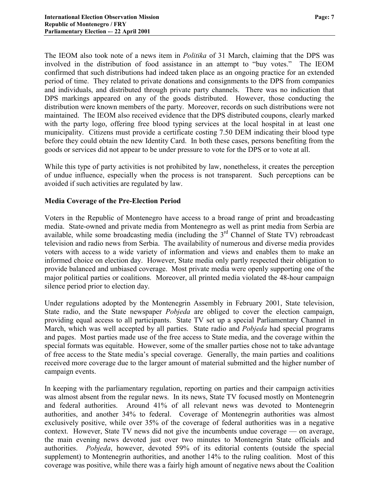The IEOM also took note of a news item in *Politika* of 31 March, claiming that the DPS was involved in the distribution of food assistance in an attempt to "buy votes." The IEOM confirmed that such distributions had indeed taken place as an ongoing practice for an extended period of time. They related to private donations and consignments to the DPS from companies and individuals, and distributed through private party channels. There was no indication that DPS markings appeared on any of the goods distributed. However, those conducting the distribution were known members of the party. Moreover, records on such distributions were not maintained. The IEOM also received evidence that the DPS distributed coupons, clearly marked with the party logo, offering free blood typing services at the local hospital in at least one municipality. Citizens must provide a certificate costing 7.50 DEM indicating their blood type before they could obtain the new Identity Card. In both these cases, persons benefiting from the goods or services did not appear to be under pressure to vote for the DPS or to vote at all.

While this type of party activities is not prohibited by law, nonetheless, it creates the perception of undue influence, especially when the process is not transparent. Such perceptions can be avoided if such activities are regulated by law.

### **Media Coverage of the Pre-Election Period**

Voters in the Republic of Montenegro have access to a broad range of print and broadcasting media. State-owned and private media from Montenegro as well as print media from Serbia are available, while some broadcasting media (including the 3<sup>rd</sup> Channel of State TV) rebroadcast television and radio news from Serbia. The availability of numerous and diverse media provides voters with access to a wide variety of information and views and enables them to make an informed choice on election day. However, State media only partly respected their obligation to provide balanced and unbiased coverage. Most private media were openly supporting one of the major political parties or coalitions. Moreover, all printed media violated the 48-hour campaign silence period prior to election day.

Under regulations adopted by the Montenegrin Assembly in February 2001, State television, State radio, and the State newspaper *Pobjeda* are obliged to cover the election campaign, providing equal access to all participants. State TV set up a special Parliamentary Channel in March, which was well accepted by all parties. State radio and *Pobjeda* had special programs and pages. Most parties made use of the free access to State media, and the coverage within the special formats was equitable. However, some of the smaller parties chose not to take advantage of free access to the State media's special coverage. Generally, the main parties and coalitions received more coverage due to the larger amount of material submitted and the higher number of campaign events.

In keeping with the parliamentary regulation, reporting on parties and their campaign activities was almost absent from the regular news. In its news, State TV focused mostly on Montenegrin and federal authorities. Around 41% of all relevant news was devoted to Montenegrin authorities, and another 34% to federal. Coverage of Montenegrin authorities was almost exclusively positive, while over 35% of the coverage of federal authorities was in a negative context. However, State TV news did not give the incumbents undue coverage — on average, the main evening news devoted just over two minutes to Montenegrin State officials and authorities. *Pobjeda*, however, devoted 59% of its editorial contents (outside the special supplement) to Montenegrin authorities, and another 14% to the ruling coalition. Most of this coverage was positive, while there was a fairly high amount of negative news about the Coalition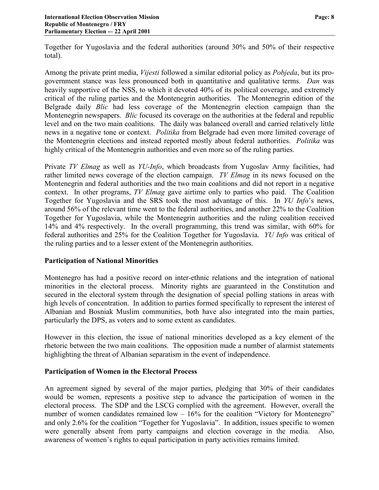Together for Yugoslavia and the federal authorities (around 30% and 50% of their respective total).

Among the private print media, *Vijesti* followed a similar editorial policy as *Pobjeda*, but its progovernment stance was less pronounced both in quantitative and qualitative terms. *Dan* was heavily supportive of the NSS, to which it devoted 40% of its political coverage, and extremely critical of the ruling parties and the Montenegrin authorities. The Montenegrin edition of the Belgrade daily *Blic* had less coverage of the Montenegrin election campaign than the Montenegrin newspapers. *Blic* focused its coverage on the authorities at the federal and republic level and on the two main coalitions. The daily was balanced overall and carried relatively little news in a negative tone or context. *Politika* from Belgrade had even more limited coverage of the Montenegrin elections and instead reported mostly about federal authorities. *Politika* was highly critical of the Montenegrin authorities and even more so of the ruling parties.

Private *TV Elmag* as well as *YU-Info*, which broadcasts from Yugoslav Army facilities, had rather limited news coverage of the election campaign. *TV Elmag* in its news focused on the Montenegrin and federal authorities and the two main coalitions and did not report in a negative context. In other programs, *TV Elmag* gave airtime only to parties who paid. The Coalition Together for Yugoslavia and the SRS took the most advantage of this. In *YU Info*'s news, around 56% of the relevant time went to the federal authorities, and another 22% to the Coalition Together for Yugoslavia, while the Montenegrin authorities and the ruling coalition received 14% and 4% respectively. In the overall programming, this trend was similar, with 60% for federal authorities and 25% for the Coalition Together for Yugoslavia. *YU Info* was critical of the ruling parties and to a lesser extent of the Montenegrin authorities.

### **Participation of National Minorities**

Montenegro has had a positive record on inter-ethnic relations and the integration of national minorities in the electoral process. Minority rights are guaranteed in the Constitution and secured in the electoral system through the designation of special polling stations in areas with high levels of concentration. In addition to parties formed specifically to represent the interest of Albanian and Bosniak Muslim communities, both have also integrated into the main parties, particularly the DPS, as voters and to some extent as candidates.

However in this election, the issue of national minorities developed as a key element of the rhetoric between the two main coalitions. The opposition made a number of alarmist statements highlighting the threat of Albanian separatism in the event of independence.

#### **Participation of Women in the Electoral Process**

An agreement signed by several of the major parties, pledging that 30% of their candidates would be women, represents a positive step to advance the participation of women in the electoral process. The SDP and the LSCG complied with the agreement. However, overall the number of women candidates remained  $low - 16\%$  for the coalition "Victory for Montenegro" and only 2.6% for the coalition "Together for Yugoslavia". In addition, issues specific to women were generally absent from party campaigns and election coverage in the media. Also, awareness of women's rights to equal participation in party activities remains limited.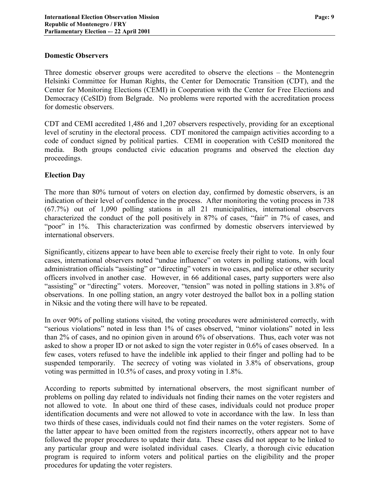#### **Domestic Observers**

Three domestic observer groups were accredited to observe the elections – the Montenegrin Helsinki Committee for Human Rights, the Center for Democratic Transition (CDT), and the Center for Monitoring Elections (CEMI) in Cooperation with the Center for Free Elections and Democracy (CeSID) from Belgrade. No problems were reported with the accreditation process for domestic observers.

CDT and CEMI accredited 1,486 and 1,207 observers respectively, providing for an exceptional level of scrutiny in the electoral process. CDT monitored the campaign activities according to a code of conduct signed by political parties. CEMI in cooperation with CeSID monitored the media. Both groups conducted civic education programs and observed the election day proceedings.

## **Election Day**

The more than 80% turnout of voters on election day, confirmed by domestic observers, is an indication of their level of confidence in the process. After monitoring the voting process in 738 (67.7%) out of 1,090 polling stations in all 21 municipalities, international observers characterized the conduct of the poll positively in 87% of cases, "fair" in 7% of cases, and "poor" in 1%. This characterization was confirmed by domestic observers interviewed by international observers.

Significantly, citizens appear to have been able to exercise freely their right to vote. In only four cases, international observers noted "undue influence" on voters in polling stations, with local administration officials "assisting" or "directing" voters in two cases, and police or other security officers involved in another case. However, in 66 additional cases, party supporters were also "assisting" or "directing" voters. Moreover, "tension" was noted in polling stations in 3.8% of observations. In one polling station, an angry voter destroyed the ballot box in a polling station in Niksic and the voting there will have to be repeated.

In over 90% of polling stations visited, the voting procedures were administered correctly, with "serious violations" noted in less than 1% of cases observed, "minor violations" noted in less than 2% of cases, and no opinion given in around 6% of observations. Thus, each voter was not asked to show a proper ID or not asked to sign the voter register in 0.6% of cases observed. In a few cases, voters refused to have the indelible ink applied to their finger and polling had to be suspended temporarily. The secrecy of voting was violated in 3.8% of observations, group voting was permitted in 10.5% of cases, and proxy voting in 1.8%.

According to reports submitted by international observers, the most significant number of problems on polling day related to individuals not finding their names on the voter registers and not allowed to vote. In about one third of these cases, individuals could not produce proper identification documents and were not allowed to vote in accordance with the law. In less than two thirds of these cases, individuals could not find their names on the voter registers. Some of the latter appear to have been omitted from the registers incorrectly, others appear not to have followed the proper procedures to update their data. These cases did not appear to be linked to any particular group and were isolated individual cases. Clearly, a thorough civic education program is required to inform voters and political parties on the eligibility and the proper procedures for updating the voter registers.